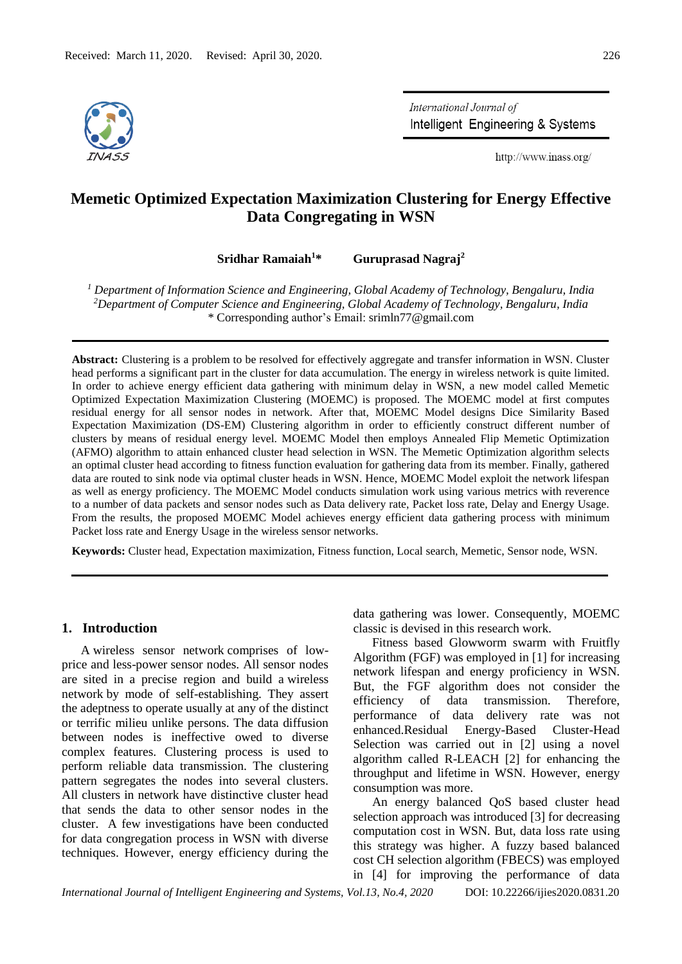

International Journal of Intelligent Engineering & Systems

http://www.inass.org/

# **Memetic Optimized Expectation Maximization Clustering for Energy Effective Data Congregating in WSN**

**Sridhar Ramaiah<sup>1</sup>\* Guruprasad Nagraj<sup>2</sup>**

*<sup>1</sup> Department of Information Science and Engineering, Global Academy of Technology, Bengaluru, India <sup>2</sup>Department of Computer Science and Engineering, Global Academy of Technology, Bengaluru, India* \* Corresponding author's Email: srimln77@gmail.com

**Abstract:** Clustering is a problem to be resolved for effectively aggregate and transfer information in WSN. Cluster head performs a significant part in the cluster for data accumulation. The energy in wireless network is quite limited. In order to achieve energy efficient data gathering with minimum delay in WSN, a new model called Memetic Optimized Expectation Maximization Clustering (MOEMC) is proposed. The MOEMC model at first computes residual energy for all sensor nodes in network. After that, MOEMC Model designs Dice Similarity Based Expectation Maximization (DS-EM) Clustering algorithm in order to efficiently construct different number of clusters by means of residual energy level. MOEMC Model then employs Annealed Flip Memetic Optimization (AFMO) algorithm to attain enhanced cluster head selection in WSN. The Memetic Optimization algorithm selects an optimal cluster head according to fitness function evaluation for gathering data from its member. Finally, gathered data are routed to sink node via optimal cluster heads in WSN. Hence, MOEMC Model exploit the network lifespan as well as energy proficiency. The MOEMC Model conducts simulation work using various metrics with reverence to a number of data packets and sensor nodes such as Data delivery rate, Packet loss rate, Delay and Energy Usage. From the results, the proposed MOEMC Model achieves energy efficient data gathering process with minimum Packet loss rate and Energy Usage in the wireless sensor networks.

**Keywords:** Cluster head, Expectation maximization, Fitness function, Local search, Memetic, Sensor node, WSN.

### **1. Introduction**

A wireless sensor network comprises of lowprice and less-power sensor nodes. All sensor nodes are sited in a precise region and build a wireless network by mode of self-establishing. They assert the adeptness to operate usually at any of the distinct or terrific milieu unlike persons. The data diffusion between nodes is ineffective owed to diverse complex features. Clustering process is used to perform reliable data transmission. The clustering pattern segregates the nodes into several clusters. All clusters in network have distinctive cluster head that sends the data to other sensor nodes in the cluster. A few investigations have been conducted for data congregation process in WSN with diverse techniques. However, energy efficiency during the data gathering was lower. Consequently, MOEMC classic is devised in this research work.

Fitness based Glowworm swarm with Fruitfly Algorithm (FGF) was employed in [1] for increasing network lifespan and energy proficiency in WSN. But, the FGF algorithm does not consider the efficiency of data transmission. Therefore, performance of data delivery rate was not enhanced.Residual Energy-Based Cluster-Head Selection was carried out in [2] using a novel algorithm called R-LEACH [2] for enhancing the throughput and lifetime in WSN. However, energy consumption was more.

An energy balanced QoS based cluster head selection approach was introduced [3] for decreasing computation cost in WSN. But, data loss rate using this strategy was higher. A fuzzy based balanced cost CH selection algorithm (FBECS) was employed in [4] for improving the performance of data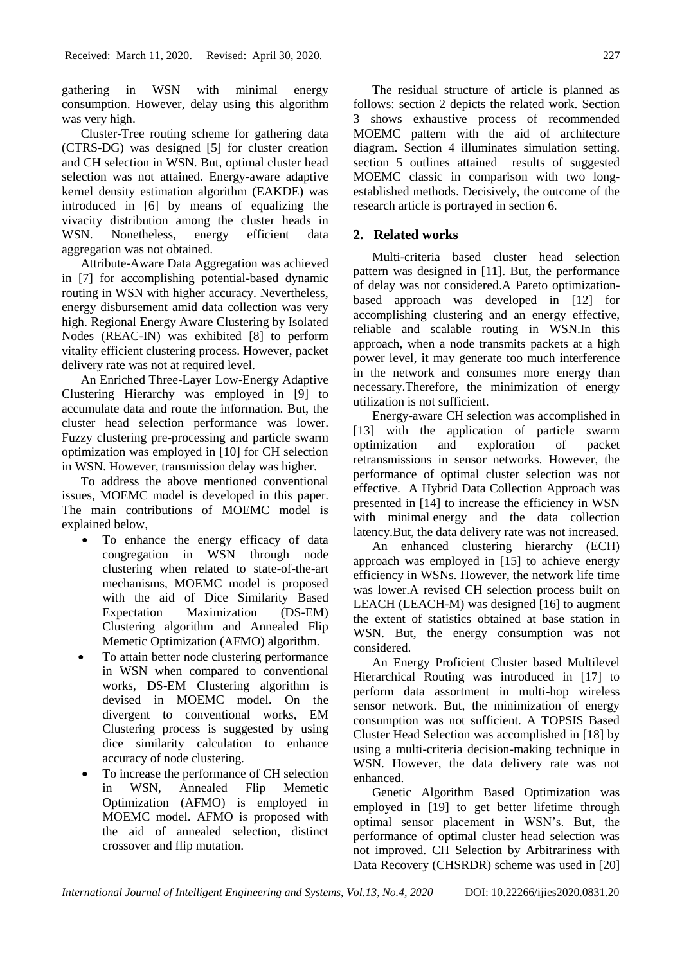gathering in WSN with minimal energy consumption. However, delay using this algorithm was very high.

Cluster-Tree routing scheme for gathering data (CTRS-DG) was designed [5] for cluster creation and CH selection in WSN. But, optimal cluster head selection was not attained. Energy-aware adaptive kernel density estimation algorithm (EAKDE) was introduced in [6] by means of equalizing the vivacity distribution among the cluster heads in WSN. Nonetheless, energy efficient data aggregation was not obtained.

Attribute-Aware Data Aggregation was achieved in [7] for accomplishing potential-based dynamic routing in WSN with higher accuracy. Nevertheless, energy disbursement amid data collection was very high. Regional Energy Aware Clustering by Isolated Nodes (REAC-IN) was exhibited [8] to perform vitality efficient clustering process. However, packet delivery rate was not at required level.

An Enriched Three-Layer Low-Energy Adaptive Clustering Hierarchy was employed in [9] to accumulate data and route the information. But, the cluster head selection performance was lower. Fuzzy clustering pre-processing and particle swarm optimization was employed in [10] for CH selection in WSN. However, transmission delay was higher.

To address the above mentioned conventional issues, MOEMC model is developed in this paper. The main contributions of MOEMC model is explained below,

- To enhance the energy efficacy of data congregation in WSN through node clustering when related to state-of-the-art mechanisms, MOEMC model is proposed with the aid of Dice Similarity Based Expectation Maximization (DS-EM) Clustering algorithm and Annealed Flip Memetic Optimization (AFMO) algorithm.
- To attain better node clustering performance in WSN when compared to conventional works, DS-EM Clustering algorithm is devised in MOEMC model. On the divergent to conventional works, EM Clustering process is suggested by using dice similarity calculation to enhance accuracy of node clustering.
- To increase the performance of CH selection in WSN, Annealed Flip Memetic Optimization (AFMO) is employed in MOEMC model. AFMO is proposed with the aid of annealed selection, distinct crossover and flip mutation.

The residual structure of article is planned as follows: section 2 depicts the related work. Section 3 shows exhaustive process of recommended MOEMC pattern with the aid of architecture diagram. Section 4 illuminates simulation setting. section 5 outlines attained results of suggested MOEMC classic in comparison with two longestablished methods. Decisively, the outcome of the research article is portrayed in section 6.

## **2. Related works**

Multi-criteria based cluster head selection pattern was designed in [11]. But, the performance of delay was not considered.A Pareto optimizationbased approach was developed in [12] for accomplishing clustering and an energy effective, reliable and scalable routing in WSN.In this approach, when a node transmits packets at a high power level, it may generate too much interference in the network and consumes more energy than necessary.Therefore, the minimization of energy utilization is not sufficient.

Energy-aware CH selection was accomplished in [13] with the application of particle swarm optimization and exploration of packet retransmissions in sensor networks. However, the performance of optimal cluster selection was not effective. A Hybrid Data Collection Approach was presented in [14] to increase the efficiency in WSN with minimal energy and the data collection latency.But, the data delivery rate was not increased.

An enhanced clustering hierarchy (ECH) approach was employed in [15] to achieve energy efficiency in WSNs. However, the network life time was lower.A revised CH selection process built on LEACH (LEACH-M) was designed [16] to augment the extent of statistics obtained at base station in WSN. But, the energy consumption was not considered.

An Energy Proficient Cluster based Multilevel Hierarchical Routing was introduced in [17] to perform data assortment in multi-hop wireless sensor network. But, the minimization of energy consumption was not sufficient. A TOPSIS Based Cluster Head Selection was accomplished in [18] by using a multi-criteria decision-making technique in WSN. However, the data delivery rate was not enhanced.

Genetic Algorithm Based Optimization was employed in [19] to get better lifetime through optimal sensor placement in WSN's. But, the performance of optimal cluster head selection was not improved. CH Selection by Arbitrariness with Data Recovery (CHSRDR) scheme was used in [20]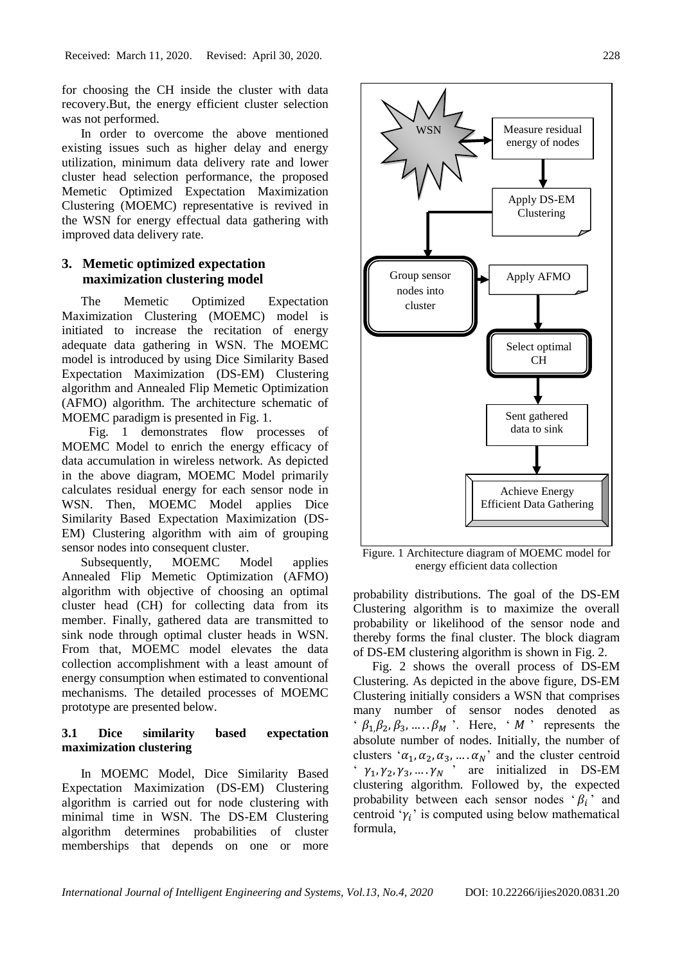for choosing the CH inside the cluster with data recovery.But, the energy efficient cluster selection was not performed.

In order to overcome the above mentioned existing issues such as higher delay and energy utilization, minimum data delivery rate and lower cluster head selection performance, the proposed Memetic Optimized Expectation Maximization Clustering (MOEMC) representative is revived in the WSN for energy effectual data gathering with improved data delivery rate.

## **3. Memetic optimized expectation maximization clustering model**

The Memetic Optimized Expectation Maximization Clustering (MOEMC) model is initiated to increase the recitation of energy adequate data gathering in WSN. The MOEMC model is introduced by using Dice Similarity Based Expectation Maximization (DS-EM) Clustering algorithm and Annealed Flip Memetic Optimization (AFMO) algorithm. The architecture schematic of MOEMC paradigm is presented in Fig. 1.

Fig. 1 demonstrates flow processes of MOEMC Model to enrich the energy efficacy of data accumulation in wireless network. As depicted in the above diagram, MOEMC Model primarily calculates residual energy for each sensor node in WSN. Then, MOEMC Model applies Dice Similarity Based Expectation Maximization (DS-EM) Clustering algorithm with aim of grouping sensor nodes into consequent cluster.

Subsequently, MOEMC Model applies Annealed Flip Memetic Optimization (AFMO) algorithm with objective of choosing an optimal cluster head (CH) for collecting data from its member. Finally, gathered data are transmitted to sink node through optimal cluster heads in WSN. From that, MOEMC model elevates the data collection accomplishment with a least amount of energy consumption when estimated to conventional mechanisms. The detailed processes of MOEMC prototype are presented below.

## **3.1 Dice similarity based expectation maximization clustering**

In MOEMC Model, Dice Similarity Based Expectation Maximization (DS-EM) Clustering algorithm is carried out for node clustering with minimal time in WSN. The DS-EM Clustering algorithm determines probabilities of cluster memberships that depends on one or more



Figure. 1 Architecture diagram of MOEMC model for energy efficient data collection

probability distributions. The goal of the DS-EM Clustering algorithm is to maximize the overall probability or likelihood of the sensor node and thereby forms the final cluster. The block diagram of DS-EM clustering algorithm is shown in Fig. 2.

Fig. 2 shows the overall process of DS-EM Clustering. As depicted in the above figure, DS-EM Clustering initially considers a WSN that comprises many number of sensor nodes denoted as '  $\beta_1, \beta_2, \beta_3, \dots, \beta_M$ '. Here, '  $M$ ' represents the absolute number of nodes. Initially, the number of clusters ' $\alpha_1, \alpha_2, \alpha_3, \dots, \alpha_N$ ' and the cluster centroid '  $\gamma_1, \gamma_2, \gamma_3, ..., \gamma_N$  ' are initialized in DS-EM clustering algorithm. Followed by, the expected probability between each sensor nodes ' $\beta_i$ ' and centroid ' $\gamma_i$ ' is computed using below mathematical formula,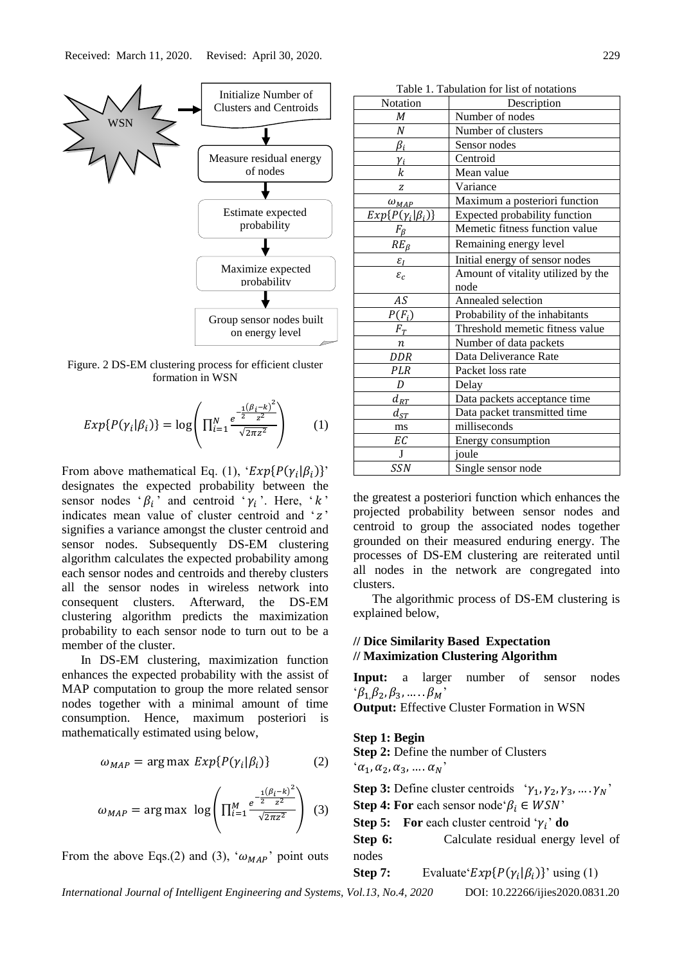

Figure. 2 DS-EM clustering process for efficient cluster formation in WSN

$$
Exp{P(\gamma_i|\beta_i)} = \log \left( \prod_{i=1}^{N} \frac{e^{\frac{-1}{2} (\beta_i - k)^2}{z^2}}{\sqrt{2\pi z^2}} \right) \qquad (1)
$$

From above mathematical Eq. (1), ' $Exp{P(\gamma_i|\beta_i)}$ ' designates the expected probability between the sensor nodes ' $\beta_i$ ' and centroid ' $\gamma_i$ '. Here, ' $k$ ' indicates mean value of cluster centroid and  $z$ signifies a variance amongst the cluster centroid and sensor nodes. Subsequently DS-EM clustering algorithm calculates the expected probability among each sensor nodes and centroids and thereby clusters all the sensor nodes in wireless network into consequent clusters. Afterward, the DS-EM clustering algorithm predicts the maximization probability to each sensor node to turn out to be a member of the cluster.

In DS-EM clustering, maximization function enhances the expected probability with the assist of MAP computation to group the more related sensor nodes together with a minimal amount of time consumption. Hence, maximum posteriori is mathematically estimated using below,

$$
\omega_{MAP} = \arg \max \, Exp\{P(\gamma_i | \beta_i)\} \tag{2}
$$

$$
\omega_{MAP} = \arg \max \ \log \left( \prod_{i=1}^{M} \frac{e^{\frac{-1(\beta_i - k)^2}{2}}}{\sqrt{2\pi z^2}} \right) \ (3)
$$

From the above Eqs.(2) and (3), ' $\omega_{MAP}$ ' point outs

| Table 1. Tabulation for list of notations |                                    |  |
|-------------------------------------------|------------------------------------|--|
| Notation                                  | Description                        |  |
| M                                         | Number of nodes                    |  |
| N                                         | Number of clusters                 |  |
| $\beta_i$                                 | Sensor nodes                       |  |
| $\gamma_i$                                | Centroid                           |  |
| k                                         | Mean value                         |  |
| Z                                         | Variance                           |  |
| $\omega_{MAP}$                            | Maximum a posteriori function      |  |
| $Exp{P(\gamma_i \beta_i)}$                | Expected probability function      |  |
| $F_{\beta}$                               | Memetic fitness function value     |  |
| $RE_{\beta}$                              | Remaining energy level             |  |
| $\varepsilon_I$                           | Initial energy of sensor nodes     |  |
| $\varepsilon_c$                           | Amount of vitality utilized by the |  |
|                                           | node                               |  |
| $A\mathcal{S}$                            | Annealed selection                 |  |
| $P(F_i)$                                  | Probability of the inhabitants     |  |
| $F_T$                                     | Threshold memetic fitness value    |  |
| $\boldsymbol{n}$                          | Number of data packets             |  |
| <b>DDR</b>                                | Data Deliverance Rate              |  |
| PLR                                       | Packet loss rate                   |  |
| D                                         | Delay                              |  |
| $d_{RT}$                                  | Data packets acceptance time       |  |
| $d_{ST}$                                  | Data packet transmitted time       |  |
| ms                                        | milliseconds                       |  |
| ЕC                                        | Energy consumption                 |  |
| $\mathbf{J}$                              | joule                              |  |
| <b>SSN</b>                                | Single sensor node                 |  |

the greatest a posteriori function which enhances the projected probability between sensor nodes and centroid to group the associated nodes together grounded on their measured enduring energy. The processes of DS-EM clustering are reiterated until all nodes in the network are congregated into clusters.

The algorithmic process of DS-EM clustering is explained below,

## **// Dice Similarity Based Expectation // Maximization Clustering Algorithm**

**Input:** a larger number of sensor nodes  $\beta_1,\beta_2,\beta_3,\ldots,\beta_M$ 

**Output:** Effective Cluster Formation in WSN

### **Step 1: Begin**

**Step 2:** Define the number of Clusters  $(\alpha_1, \alpha_2, \alpha_3, \dots, \alpha_N)$ 

**Step 3:** Define cluster centroids  $\gamma_1$ ,  $\gamma_2$ ,  $\gamma_3$ , ...,  $\gamma_N$ <sup>7</sup>

**Step 4: For** each sensor node  $\beta_i \in WSN$ 

**Step 5:** For each cluster centroid ' $\gamma_i$ ' do

**Step 6:** Calculate residual energy level of nodes

**Step 7:** Evaluate  $Exp{P(\gamma_i|\beta_i)}$ ' using (1)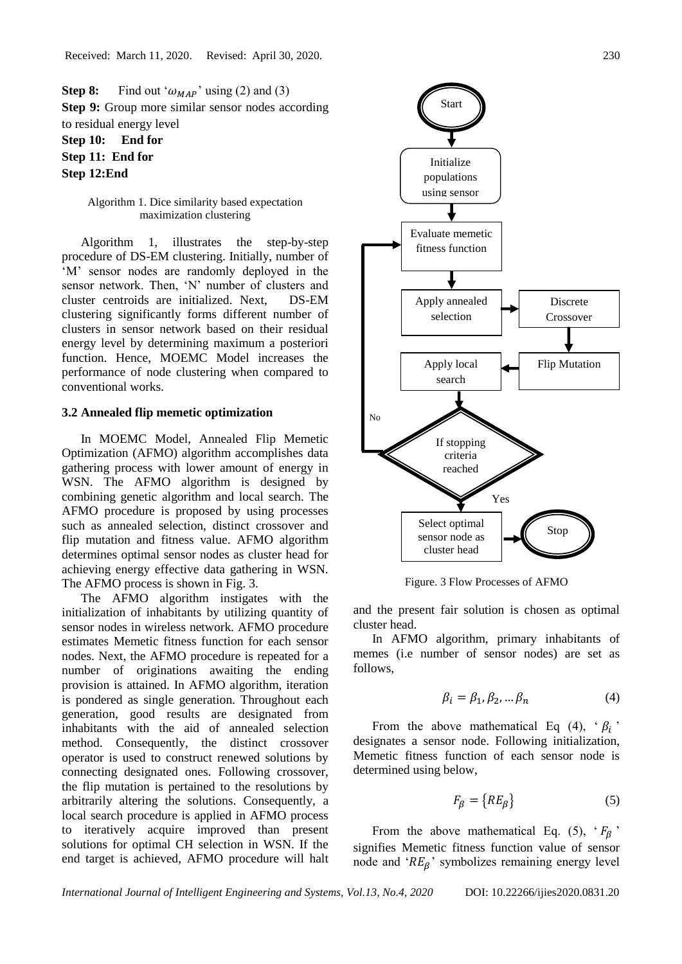**Step 8:** Find out ' $\omega_{MAP}$ ' using (2) and (3) **Step 9:** Group more similar sensor nodes according to residual energy level

**Step 10: End for Step 11: End for Step 12:End** 

> Algorithm 1. Dice similarity based expectation maximization clustering

Algorithm 1, illustrates the step-by-step procedure of DS-EM clustering. Initially, number of 'M' sensor nodes are randomly deployed in the sensor network. Then, 'N' number of clusters and cluster centroids are initialized. Next, DS-EM clustering significantly forms different number of clusters in sensor network based on their residual energy level by determining maximum a posteriori function. Hence, MOEMC Model increases the performance of node clustering when compared to conventional works.

### **3.2 Annealed flip memetic optimization**

In MOEMC Model, Annealed Flip Memetic Optimization (AFMO) algorithm accomplishes data gathering process with lower amount of energy in WSN. The AFMO algorithm is designed by combining genetic algorithm and local search. The AFMO procedure is proposed by using processes such as annealed selection, distinct crossover and flip mutation and fitness value. AFMO algorithm determines optimal sensor nodes as cluster head for achieving energy effective data gathering in WSN. The AFMO process is shown in Fig. 3.

The AFMO algorithm instigates with the initialization of inhabitants by utilizing quantity of sensor nodes in wireless network. AFMO procedure estimates Memetic fitness function for each sensor nodes. Next, the AFMO procedure is repeated for a number of originations awaiting the ending provision is attained. In AFMO algorithm, iteration is pondered as single generation. Throughout each generation, good results are designated from inhabitants with the aid of annealed selection method. Consequently, the distinct crossover operator is used to construct renewed solutions by connecting designated ones. Following crossover, the flip mutation is pertained to the resolutions by arbitrarily altering the solutions. Consequently, a local search procedure is applied in AFMO process to iteratively acquire improved than present solutions for optimal CH selection in WSN. If the end target is achieved, AFMO procedure will halt



Figure. 3 Flow Processes of AFMO

and the present fair solution is chosen as optimal cluster head.

In AFMO algorithm, primary inhabitants of memes (i.e number of sensor nodes) are set as follows,

$$
\beta_i = \beta_1, \beta_2, \dots \beta_n \tag{4}
$$

From the above mathematical Eq (4),  $\beta_i$ designates a sensor node. Following initialization, Memetic fitness function of each sensor node is determined using below,

$$
F_{\beta} = \{RE_{\beta}\}\tag{5}
$$

From the above mathematical Eq. (5),  $F_{\beta}$ signifies Memetic fitness function value of sensor node and ' $RE<sub>β</sub>$ ' symbolizes remaining energy level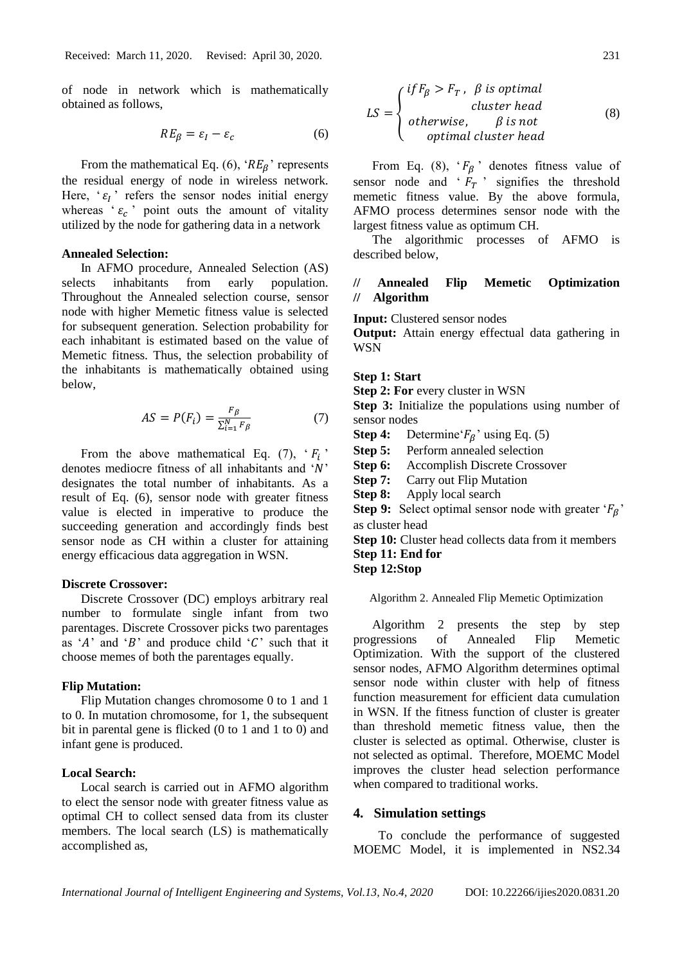of node in network which is mathematically obtained as follows,

$$
RE_{\beta} = \varepsilon_I - \varepsilon_c \tag{6}
$$

From the mathematical Eq. (6), ' $RE_\beta$ ' represents the residual energy of node in wireless network. Here, ' $\varepsilon_l$ ' refers the sensor nodes initial energy whereas ' $\varepsilon_c$ ' point outs the amount of vitality utilized by the node for gathering data in a network

### **Annealed Selection:**

In AFMO procedure, Annealed Selection (AS) selects inhabitants from early population. Throughout the Annealed selection course, sensor node with higher Memetic fitness value is selected for subsequent generation. Selection probability for each inhabitant is estimated based on the value of Memetic fitness. Thus, the selection probability of the inhabitants is mathematically obtained using below,

$$
AS = P(F_i) = \frac{F_{\beta}}{\sum_{i=1}^{N} F_{\beta}} \tag{7}
$$

From the above mathematical Eq. (7),  $F_i$ denotes mediocre fitness of all inhabitants and  $'N'$ designates the total number of inhabitants. As a result of Eq. (6), sensor node with greater fitness value is elected in imperative to produce the succeeding generation and accordingly finds best sensor node as CH within a cluster for attaining energy efficacious data aggregation in WSN.

### **Discrete Crossover:**

Discrete Crossover (DC) employs arbitrary real number to formulate single infant from two parentages. Discrete Crossover picks two parentages as 'A' and 'B' and produce child 'C' such that it choose memes of both the parentages equally.

### **Flip Mutation:**

Flip Mutation changes chromosome 0 to 1 and 1 to 0. In mutation chromosome, for 1, the subsequent bit in parental gene is flicked (0 to 1 and 1 to 0) and infant gene is produced.

### **Local Search:**

Local search is carried out in AFMO algorithm to elect the sensor node with greater fitness value as optimal CH to collect sensed data from its cluster members. The local search (LS) is mathematically accomplished as,

$$
LS = \begin{cases} if F_{\beta} > F_T, & \beta \text{ is optimal} \\ c\text{luster head} \\ otherwise, & \beta \text{ is not} \\ optimal \text{ cluster head} \end{cases} \tag{8}
$$

From Eq. (8),  $F_{\beta}$  denotes fitness value of sensor node and  $F_T$  signifies the threshold memetic fitness value. By the above formula, AFMO process determines sensor node with the largest fitness value as optimum CH.

The algorithmic processes of AFMO is described below,

## **// Annealed Flip Memetic Optimization // Algorithm**

**Input:** Clustered sensor nodes

**Output:** Attain energy effectual data gathering in **WSN** 

### **Step 1: Start**

**Step 2: For** every cluster in WSN

**Step 3:** Initialize the populations using number of sensor nodes

**Step 4:** Determine' $F_R$ ' using Eq. (5)

**Step 5:** Perform annealed selection

- **Step 6:** Accomplish Discrete Crossover
- **Step 7:** Carry out Flip Mutation
- **Step 8:** Apply local search

**Step 9:** Select optimal sensor node with greater ' $F_g$ ' as cluster head

**Step 10:** Cluster head collects data from it members **Step 11: End for** 

# **Step 12:Stop**

Algorithm 2. Annealed Flip Memetic Optimization

Algorithm 2 presents the step by step progressions of Annealed Flip Memetic Optimization. With the support of the clustered sensor nodes, AFMO Algorithm determines optimal sensor node within cluster with help of fitness function measurement for efficient data cumulation in WSN. If the fitness function of cluster is greater than threshold memetic fitness value, then the cluster is selected as optimal. Otherwise, cluster is not selected as optimal. Therefore, MOEMC Model improves the cluster head selection performance when compared to traditional works.

### **4. Simulation settings**

To conclude the performance of suggested MOEMC Model, it is implemented in NS2.34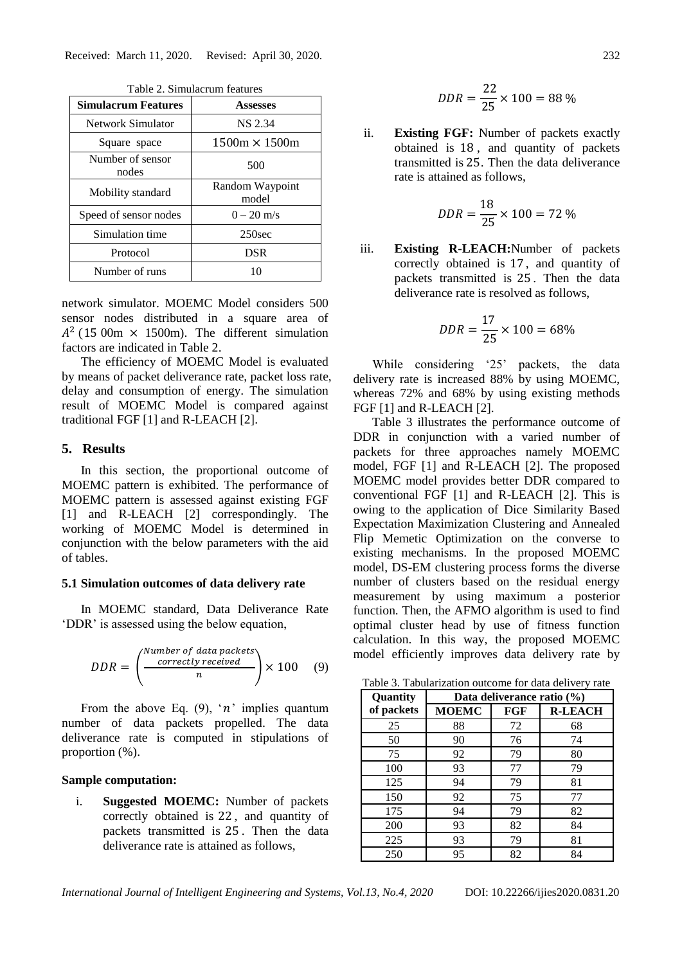| <b>Simulacrum Features</b> | <b>Assesses</b>          |
|----------------------------|--------------------------|
| Network Simulator          | <b>NS 2.34</b>           |
| Square space               | $1500m \times 1500m$     |
| Number of sensor<br>nodes  | 500                      |
| Mobility standard          | Random Waypoint<br>model |
| Speed of sensor nodes      | $0 - 20$ m/s             |
| Simulation time            | 250 <sub>sec</sub>       |
| Protocol                   | <b>DSR</b>               |
| Number of runs             |                          |

Table 2. Simulacrum features

network simulator. MOEMC Model considers 500 sensor nodes distributed in a square area of  $A^2$  (15 00m  $\times$  1500m). The different simulation factors are indicated in Table 2.

The efficiency of MOEMC Model is evaluated by means of packet deliverance rate, packet loss rate, delay and consumption of energy. The simulation result of MOEMC Model is compared against traditional FGF [1] and R-LEACH [2].

## **5. Results**

In this section, the proportional outcome of MOEMC pattern is exhibited. The performance of MOEMC pattern is assessed against existing FGF [1] and R-LEACH [2] correspondingly. The working of MOEMC Model is determined in conjunction with the below parameters with the aid of tables.

### **5.1 Simulation outcomes of data delivery rate**

In MOEMC standard, Data Deliverance Rate 'DDR' is assessed using the below equation,

$$
DDR = \left(\frac{\frac{Number\ of\ data\ packets}{correctly\ received}}{n}\right) \times 100 \quad (9)
$$

From the above Eq. (9), ' $n$ ' implies quantum number of data packets propelled. The data deliverance rate is computed in stipulations of proportion (%).

### **Sample computation:**

i. **Suggested MOEMC:** Number of packets correctly obtained is 22 , and quantity of packets transmitted is 25 . Then the data deliverance rate is attained as follows,

$$
DDR = \frac{22}{25} \times 100 = 88\%
$$

ii. **Existing FGF:** Number of packets exactly obtained is 18 , and quantity of packets transmitted is 25. Then the data deliverance rate is attained as follows,

$$
DDR = \frac{18}{25} \times 100 = 72\%
$$

iii. **Existing R-LEACH:**Number of packets correctly obtained is 17 , and quantity of packets transmitted is 25 . Then the data deliverance rate is resolved as follows,

$$
DDR = \frac{17}{25} \times 100 = 68\%
$$

While considering '25' packets, the data delivery rate is increased 88% by using MOEMC, whereas 72% and 68% by using existing methods FGF [1] and R-LEACH [2].

Table 3 illustrates the performance outcome of DDR in conjunction with a varied number of packets for three approaches namely MOEMC model, FGF [1] and R-LEACH [2]. The proposed MOEMC model provides better DDR compared to conventional FGF [1] and R-LEACH [2]. This is owing to the application of Dice Similarity Based Expectation Maximization Clustering and Annealed Flip Memetic Optimization on the converse to existing mechanisms. In the proposed MOEMC model, DS-EM clustering process forms the diverse number of clusters based on the residual energy measurement by using maximum a posterior function. Then, the AFMO algorithm is used to find optimal cluster head by use of fitness function calculation. In this way, the proposed MOEMC model efficiently improves data delivery rate by

Table 3. Tabularization outcome for data delivery rate

| Quantity   | Data deliverance ratio (%) |     |                |
|------------|----------------------------|-----|----------------|
| of packets | <b>MOEMC</b>               | FGF | <b>R-LEACH</b> |
| 25         | 88                         | 72  | 68             |
| 50         | 90                         | 76  | 74             |
| 75         | 92                         | 79  | 80             |
| 100        | 93                         | 77  | 79             |
| 125        | 94                         | 79  | 81             |
| 150        | 92                         | 75  | 77             |
| 175        | 94                         | 79  | 82             |
| 200        | 93                         | 82  | 84             |
| 225        | 93                         | 79  | 81             |
| 250        | 95                         | 82  | 84             |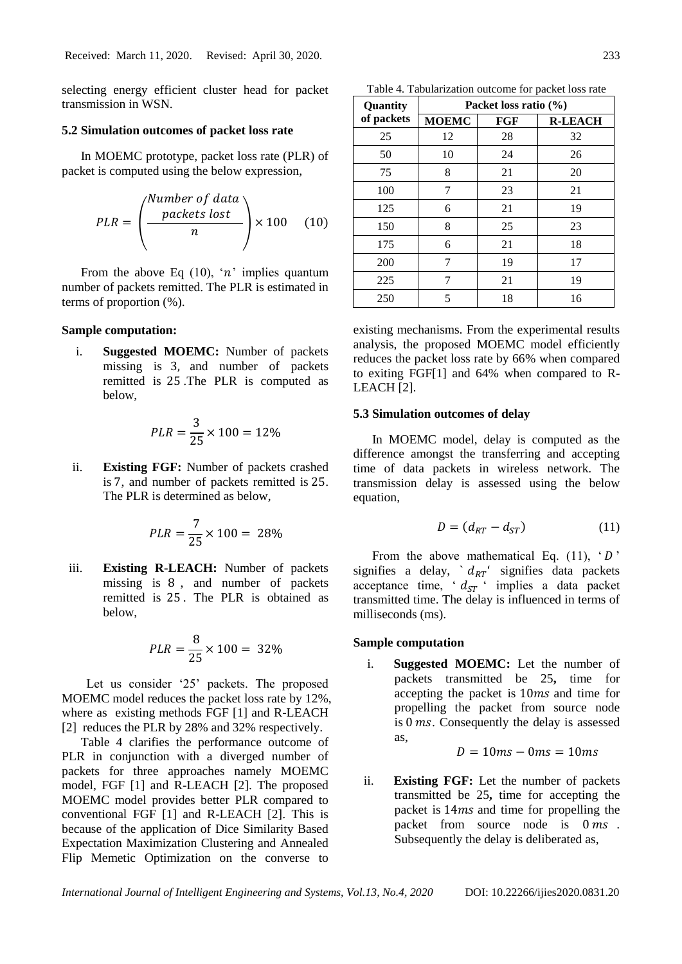selecting energy efficient cluster head for packet transmission in WSN.

### **5.2 Simulation outcomes of packet loss rate**

In MOEMC prototype, packet loss rate (PLR) of packet is computed using the below expression,

$$
PLR = \left(\frac{\text{Number of data}}{n}\right) \times 100 \quad (10)
$$

From the above Eq (10), 'n' implies quantum number of packets remitted. The PLR is estimated in terms of proportion (%).

### **Sample computation:**

i. **Suggested MOEMC:** Number of packets missing is 3, and number of packets remitted is 25 .The PLR is computed as below,

$$
PLR = \frac{3}{25} \times 100 = 12\%
$$

ii. **Existing FGF:** Number of packets crashed is 7, and number of packets remitted is 25. The PLR is determined as below,

$$
PLR = \frac{7}{25} \times 100 = 28\%
$$

iii. **Existing R-LEACH:** Number of packets missing is 8 , and number of packets remitted is 25 . The PLR is obtained as below,

$$
PLR = \frac{8}{25} \times 100 = 32\%
$$

Let us consider '25' packets. The proposed MOEMC model reduces the packet loss rate by 12%, where as existing methods FGF [1] and R-LEACH [2] reduces the PLR by 28% and 32% respectively.

Table 4 clarifies the performance outcome of PLR in conjunction with a diverged number of packets for three approaches namely MOEMC model, FGF [1] and R-LEACH [2]. The proposed MOEMC model provides better PLR compared to conventional FGF [1] and R-LEACH [2]. This is because of the application of Dice Similarity Based Expectation Maximization Clustering and Annealed Flip Memetic Optimization on the converse to

Table 4. Tabularization outcome for packet loss rate

| Quantity   | Packet loss ratio (%) |     |                |
|------------|-----------------------|-----|----------------|
| of packets | <b>MOEMC</b>          | FGF | <b>R-LEACH</b> |
| 25         | 12                    | 28  | 32             |
| 50         | 10                    | 24  | 26             |
| 75         | 8                     | 21  | 20             |
| 100        | 7                     | 23  | 21             |
| 125        | 6                     | 21  | 19             |
| 150        | 8                     | 25  | 23             |
| 175        | 6                     | 21  | 18             |
| 200        | 7                     | 19  | 17             |
| 225        | 7                     | 21  | 19             |
| 250        | 5                     | 18  | 16             |

existing mechanisms. From the experimental results analysis, the proposed MOEMC model efficiently reduces the packet loss rate by 66% when compared to exiting FGF[1] and 64% when compared to R-LEACH [2].

### **5.3 Simulation outcomes of delay**

In MOEMC model, delay is computed as the difference amongst the transferring and accepting time of data packets in wireless network. The transmission delay is assessed using the below equation,

$$
D = (d_{RT} - d_{ST}) \tag{11}
$$

From the above mathematical Eq.  $(11)$ ,  $D'$ signifies a delay,  $d_{RT}$  signifies data packets acceptance time,  $d_{ST}$  ' implies a data packet transmitted time. The delay is influenced in terms of milliseconds (ms).

## **Sample computation**

i. **Suggested MOEMC:** Let the number of packets transmitted be 25**,** time for accepting the packet is 10 ms and time for propelling the packet from source node is  $0$  ms. Consequently the delay is assessed as,

$$
D=10ms-0ms=10ms
$$

ii. **Existing FGF:** Let the number of packets transmitted be 25**,** time for accepting the packet is 14ms and time for propelling the packet from source node is  $0 \text{ ms}$ . Subsequently the delay is deliberated as,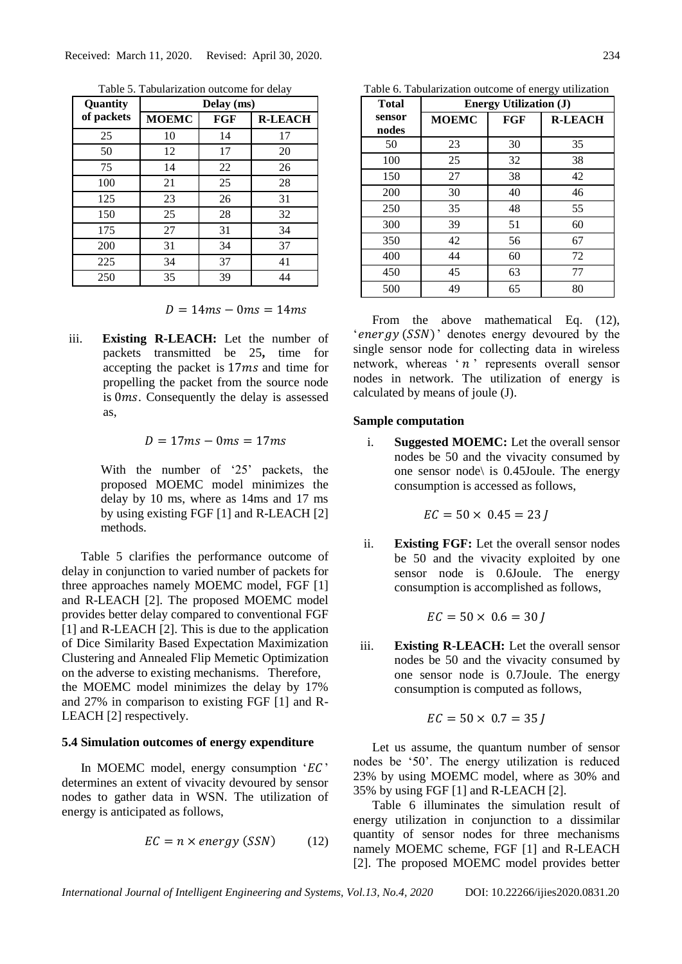| Quantity   | Delay (ms)   |     |                |
|------------|--------------|-----|----------------|
| of packets | <b>MOEMC</b> | FGF | <b>R-LEACH</b> |
| 25         | 10           | 14  | 17             |
| 50         | 12           | 17  | 20             |
| 75         | 14           | 22  | 26             |
| 100        | 21           | 25  | 28             |
| 125        | 23           | 26  | 31             |
| 150        | 25           | 28  | 32             |
| 175        | 27           | 31  | 34             |
| 200        | 31           | 34  | 37             |
| 225        | 34           | 37  | 41             |
| 250        | 35           | 39  | 44             |

Table 5. Tabularization outcome for delay

 $D = 14ms - 0ms = 14ms$ 

iii. **Existing R-LEACH:** Let the number of packets transmitted be 25**,** time for accepting the packet is  $17ms$  and time for propelling the packet from the source node is  $0ms$ . Consequently the delay is assessed as,

### $D = 17 ms - 0 ms = 17 ms$

With the number of '25' packets, the proposed MOEMC model minimizes the delay by 10 ms, where as 14ms and 17 ms by using existing FGF [1] and R-LEACH [2] methods.

Table 5 clarifies the performance outcome of delay in conjunction to varied number of packets for three approaches namely MOEMC model, FGF [1] and R-LEACH [2]. The proposed MOEMC model provides better delay compared to conventional FGF [1] and R-LEACH [2]. This is due to the application of Dice Similarity Based Expectation Maximization Clustering and Annealed Flip Memetic Optimization on the adverse to existing mechanisms. Therefore, the MOEMC model minimizes the delay by 17% and 27% in comparison to existing FGF [1] and R-LEACH [2] respectively.

#### **5.4 Simulation outcomes of energy expenditure**

In MOEMC model, energy consumption ' $EC$ ' determines an extent of vivacity devoured by sensor nodes to gather data in WSN. The utilization of energy is anticipated as follows,

$$
EC = n \times energy (SSN)
$$
 (12)

Table 6. Tabularization outcome of energy utilization

| <b>Total</b>    | <b>Energy Utilization (J)</b> |     |                |  |
|-----------------|-------------------------------|-----|----------------|--|
| sensor<br>nodes | <b>MOEMC</b>                  | FGF | <b>R-LEACH</b> |  |
| 50              | 23                            | 30  | 35             |  |
| 100             | 25                            | 32  | 38             |  |
| 150             | 27                            | 38  | 42             |  |
| 200             | 30                            | 40  | 46             |  |
| 250             | 35                            | 48  | 55             |  |
| 300             | 39                            | 51  | 60             |  |
| 350             | 42                            | 56  | 67             |  |
| 400             | 44                            | 60  | 72             |  |
| 450             | 45                            | 63  | 77             |  |
| 500             | 49                            | 65  | 80             |  |

From the above mathematical Eq. (12), ' energy  $(SSN)$ ' denotes energy devoured by the single sensor node for collecting data in wireless network, whereas ' $n$ ' represents overall sensor nodes in network. The utilization of energy is calculated by means of joule (J).

### **Sample computation**

i. **Suggested MOEMC:** Let the overall sensor nodes be 50 and the vivacity consumed by one sensor node\ is 0.45Joule. The energy consumption is accessed as follows,

$$
EC = 50 \times 0.45 = 23
$$

ii. **Existing FGF:** Let the overall sensor nodes be 50 and the vivacity exploited by one sensor node is 0.6Joule. The energy consumption is accomplished as follows,

$$
EC = 50 \times 0.6 = 30
$$

iii. **Existing R-LEACH:** Let the overall sensor nodes be 50 and the vivacity consumed by one sensor node is 0.7Joule. The energy consumption is computed as follows,

$$
EC = 50 \times 0.7 = 35
$$

Let us assume, the quantum number of sensor nodes be '50'. The energy utilization is reduced 23% by using MOEMC model, where as 30% and 35% by using FGF [1] and R-LEACH [2].

Table 6 illuminates the simulation result of energy utilization in conjunction to a dissimilar quantity of sensor nodes for three mechanisms namely MOEMC scheme, FGF [1] and R-LEACH [2]. The proposed MOEMC model provides better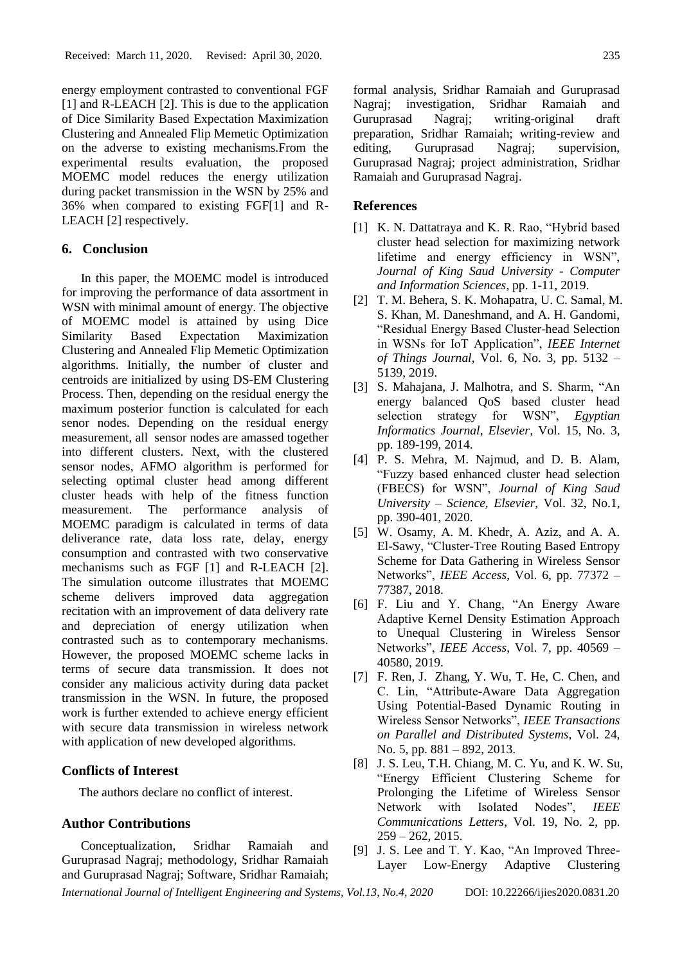energy employment contrasted to conventional FGF [1] and R-LEACH [2]. This is due to the application of Dice Similarity Based Expectation Maximization Clustering and Annealed Flip Memetic Optimization on the adverse to existing mechanisms.From the experimental results evaluation, the proposed MOEMC model reduces the energy utilization during packet transmission in the WSN by 25% and 36% when compared to existing FGF[1] and R-LEACH [2] respectively.

## **6. Conclusion**

In this paper, the MOEMC model is introduced for improving the performance of data assortment in WSN with minimal amount of energy. The objective of MOEMC model is attained by using Dice Similarity Based Expectation Maximization Clustering and Annealed Flip Memetic Optimization algorithms. Initially, the number of cluster and centroids are initialized by using DS-EM Clustering Process. Then, depending on the residual energy the maximum posterior function is calculated for each senor nodes. Depending on the residual energy measurement, all sensor nodes are amassed together into different clusters. Next, with the clustered sensor nodes, AFMO algorithm is performed for selecting optimal cluster head among different cluster heads with help of the fitness function measurement. The performance analysis of MOEMC paradigm is calculated in terms of data deliverance rate, data loss rate, delay, energy consumption and contrasted with two conservative mechanisms such as FGF [1] and R-LEACH [2]. The simulation outcome illustrates that MOEMC scheme delivers improved data aggregation recitation with an improvement of data delivery rate and depreciation of energy utilization when contrasted such as to contemporary mechanisms. However, the proposed MOEMC scheme lacks in terms of secure data transmission. It does not consider any malicious activity during data packet transmission in the WSN. In future, the proposed work is further extended to achieve energy efficient with secure data transmission in wireless network with application of new developed algorithms.

## **Conflicts of Interest**

The authors declare no conflict of interest.

## **Author Contributions**

Conceptualization, Sridhar Ramaiah and Guruprasad Nagraj; methodology, Sridhar Ramaiah and Guruprasad Nagraj; Software, Sridhar Ramaiah; formal analysis, Sridhar Ramaiah and Guruprasad Nagraj; investigation, Sridhar Ramaiah and Guruprasad Nagraj; writing-original draft preparation, Sridhar Ramaiah; writing-review and editing, Guruprasad Nagraj; supervision, Guruprasad Nagraj; project administration, Sridhar Ramaiah and Guruprasad Nagraj.

### **References**

- [1] K. N. Dattatraya and K. R. Rao, "Hybrid based" cluster head selection for maximizing network lifetime and energy efficiency in WSN", *Journal of King Saud University - Computer and Information Sciences*, pp. 1-11, 2019.
- [2] T. M. Behera, S. K. Mohapatra, U. C. Samal, M. S. Khan, M. Daneshmand, and A. H. Gandomi, "Residual Energy Based Cluster-head Selection in WSNs for IoT Application", *IEEE Internet of Things Journal*, Vol. 6, No. 3, pp. 5132 – 5139, 2019.
- [3] S. Mahajana, J. Malhotra, and S. Sharm, "An energy balanced QoS based cluster head selection strategy for WSN", *Egyptian Informatics Journal, Elsevier*, Vol. 15, No. 3, pp. 189-199, 2014.
- [4] P. S. Mehra, M. Najmud, and D. B. Alam, "Fuzzy based enhanced cluster head selection (FBECS) for WSN", *Journal of King Saud University – Science, Elsevier*, Vol. 32, No.1, pp. 390-401, 2020.
- [5] W. Osamy, A. M. Khedr, A. Aziz, and A. A. El-Sawy, "Cluster-Tree Routing Based Entropy Scheme for Data Gathering in Wireless Sensor Networks", *IEEE Access*, Vol. 6, pp. 77372 – 77387, 2018.
- [6] F. Liu and Y. Chang, "An Energy Aware Adaptive Kernel Density Estimation Approach to Unequal Clustering in Wireless Sensor Networks", *IEEE Access*, Vol. 7, pp. 40569 – 40580, 2019.
- [7] F. Ren, J. Zhang, Y. Wu, T. He, C. Chen, and C. Lin, "Attribute-Aware Data Aggregation Using Potential-Based Dynamic Routing in Wireless Sensor Networks", *IEEE Transactions on Parallel and Distributed Systems*, Vol. 24, No. 5, pp. 881 – 892, 2013.
- [8] J. S. Leu, T.H. Chiang, M. C. Yu, and K. W. Su, "Energy Efficient Clustering Scheme for Prolonging the Lifetime of Wireless Sensor Network with Isolated Nodes", *IEEE Communications Letters*, Vol. 19, No. 2, pp.  $259 - 262$ , 2015.
- [9] J. S. Lee and T. Y. Kao, "An Improved Three-Layer Low-Energy Adaptive Clustering